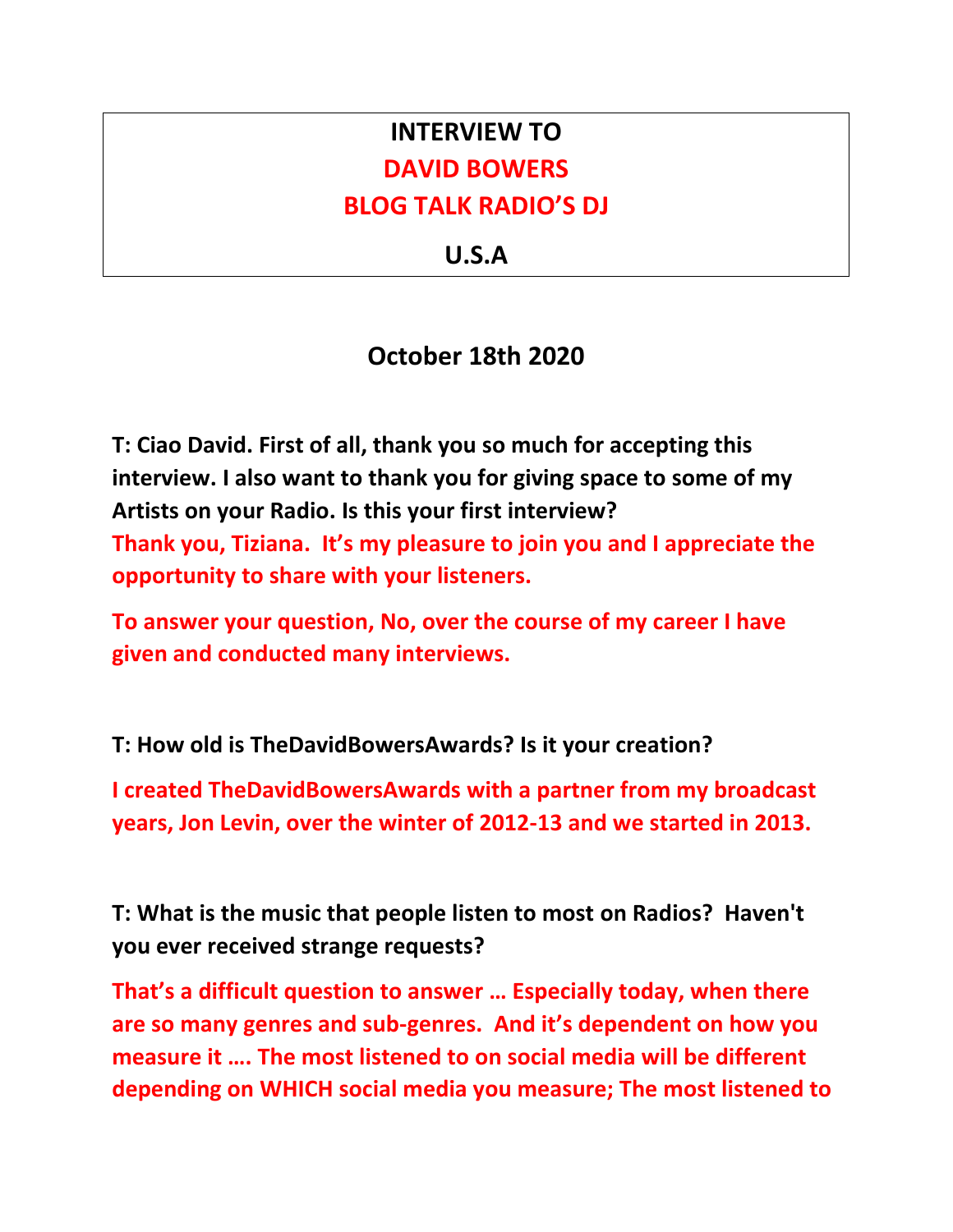## **INTERVIEW TO DAVID BOWERS BLOG TALK RADIO'S DJ**

**U.S.A**

## **October 18th 2020**

**T: Ciao David. First of all, thank you so much for accepting this interview. I also want to thank you for giving space to some of my Artists on your Radio. Is this your first interview? Thank you, Tiziana. It's my pleasure to join you and I appreciate the opportunity to share with your listeners.** 

**To answer your question, No, over the course of my career I have given and conducted many interviews.**

**T: How old is TheDavidBowersAwards? Is it your creation?**

**I created TheDavidBowersAwards with a partner from my broadcast years, Jon Levin, over the winter of 2012-13 and we started in 2013.**

**T: What is the music that people listen to most on Radios? Haven't you ever received strange requests?**

**That's a difficult question to answer … Especially today, when there are so many genres and sub-genres. And it's dependent on how you measure it …. The most listened to on social media will be different depending on WHICH social media you measure; The most listened to**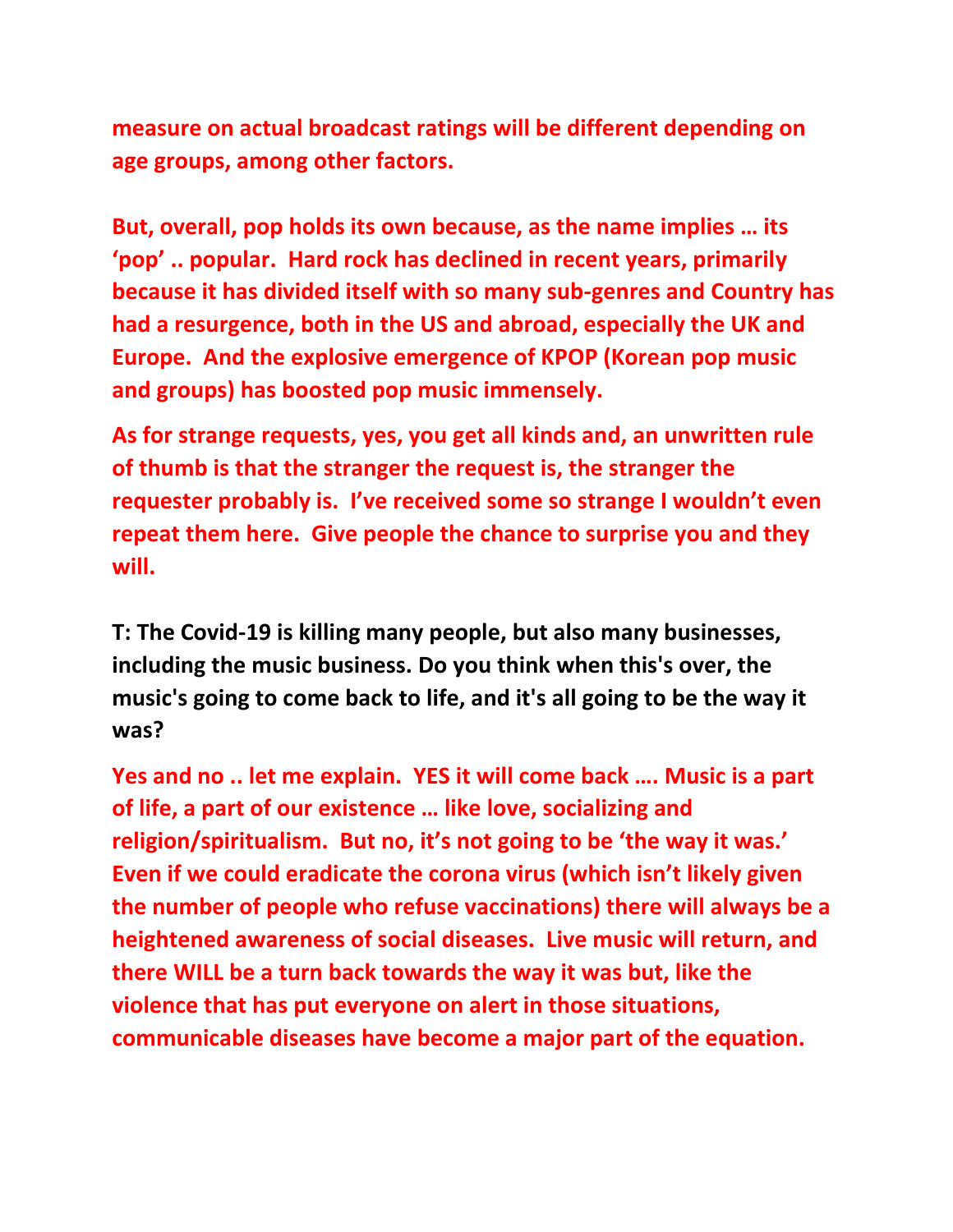**measure on actual broadcast ratings will be different depending on age groups, among other factors.**

**But, overall, pop holds its own because, as the name implies … its 'pop' .. popular. Hard rock has declined in recent years, primarily because it has divided itself with so many sub-genres and Country has had a resurgence, both in the US and abroad, especially the UK and Europe. And the explosive emergence of KPOP (Korean pop music and groups) has boosted pop music immensely.** 

**As for strange requests, yes, you get all kinds and, an unwritten rule of thumb is that the stranger the request is, the stranger the requester probably is. I've received some so strange I wouldn't even repeat them here. Give people the chance to surprise you and they will.** 

**T: The Covid-19 is killing many people, but also many businesses, including the music business. Do you think when this's over, the music's going to come back to life, and it's all going to be the way it was?**

**Yes and no .. let me explain. YES it will come back …. Music is a part of life, a part of our existence … like love, socializing and religion/spiritualism. But no, it's not going to be 'the way it was.' Even if we could eradicate the corona virus (which isn't likely given the number of people who refuse vaccinations) there will always be a heightened awareness of social diseases. Live music will return, and there WILL be a turn back towards the way it was but, like the violence that has put everyone on alert in those situations, communicable diseases have become a major part of the equation.**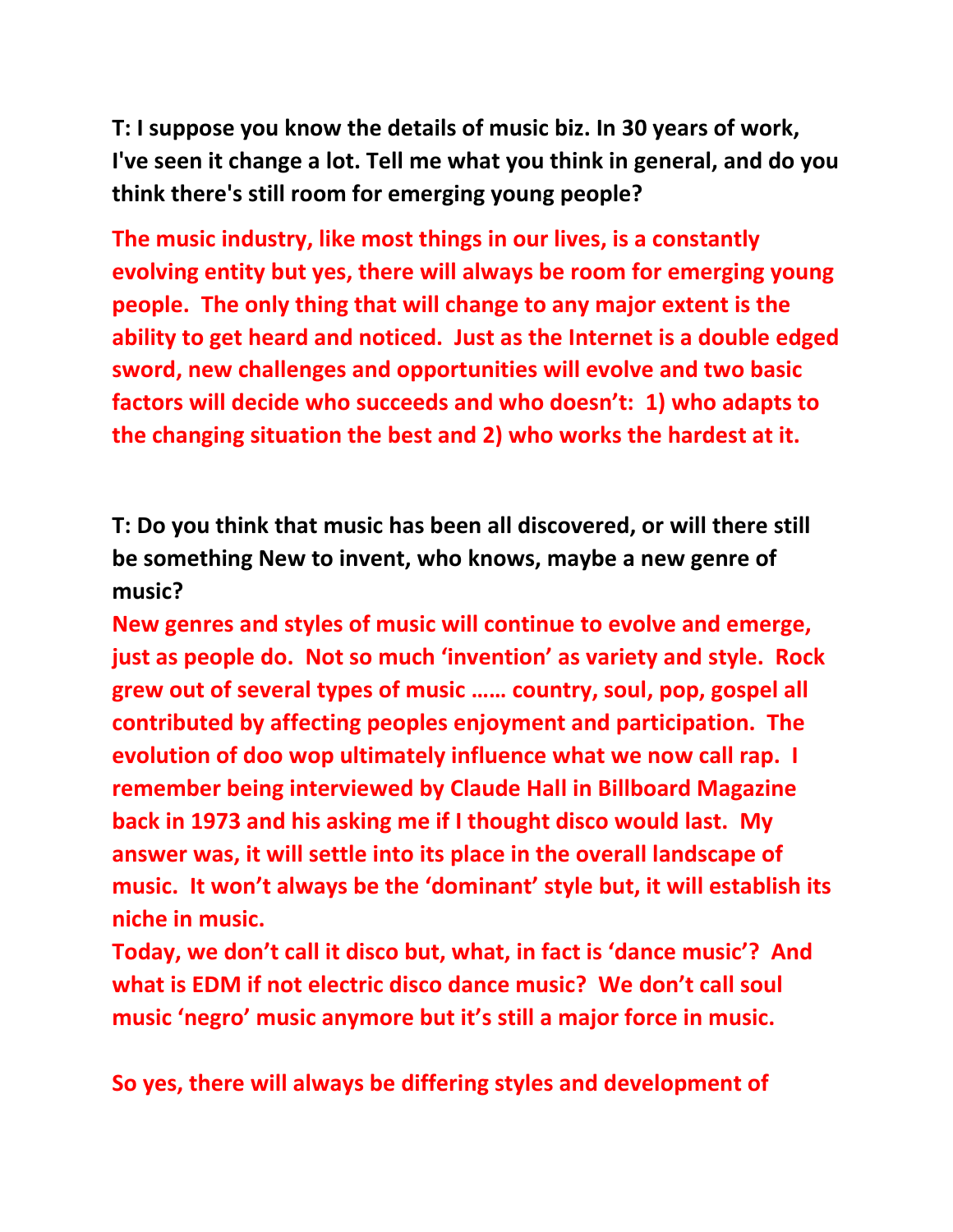**T: I suppose you know the details of music biz. In 30 years of work, I've seen it change a lot. Tell me what you think in general, and do you think there's still room for emerging young people?**

**The music industry, like most things in our lives, is a constantly evolving entity but yes, there will always be room for emerging young people. The only thing that will change to any major extent is the ability to get heard and noticed. Just as the Internet is a double edged sword, new challenges and opportunities will evolve and two basic factors will decide who succeeds and who doesn't: 1) who adapts to the changing situation the best and 2) who works the hardest at it.**

**T: Do you think that music has been all discovered, or will there still be something New to invent, who knows, maybe a new genre of music?**

**New genres and styles of music will continue to evolve and emerge, just as people do. Not so much 'invention' as variety and style. Rock grew out of several types of music …… country, soul, pop, gospel all contributed by affecting peoples enjoyment and participation. The evolution of doo wop ultimately influence what we now call rap. I remember being interviewed by Claude Hall in Billboard Magazine back in 1973 and his asking me if I thought disco would last. My answer was, it will settle into its place in the overall landscape of music. It won't always be the 'dominant' style but, it will establish its niche in music.**

**Today, we don't call it disco but, what, in fact is 'dance music'? And what is EDM if not electric disco dance music? We don't call soul music 'negro' music anymore but it's still a major force in music.** 

**So yes, there will always be differing styles and development of**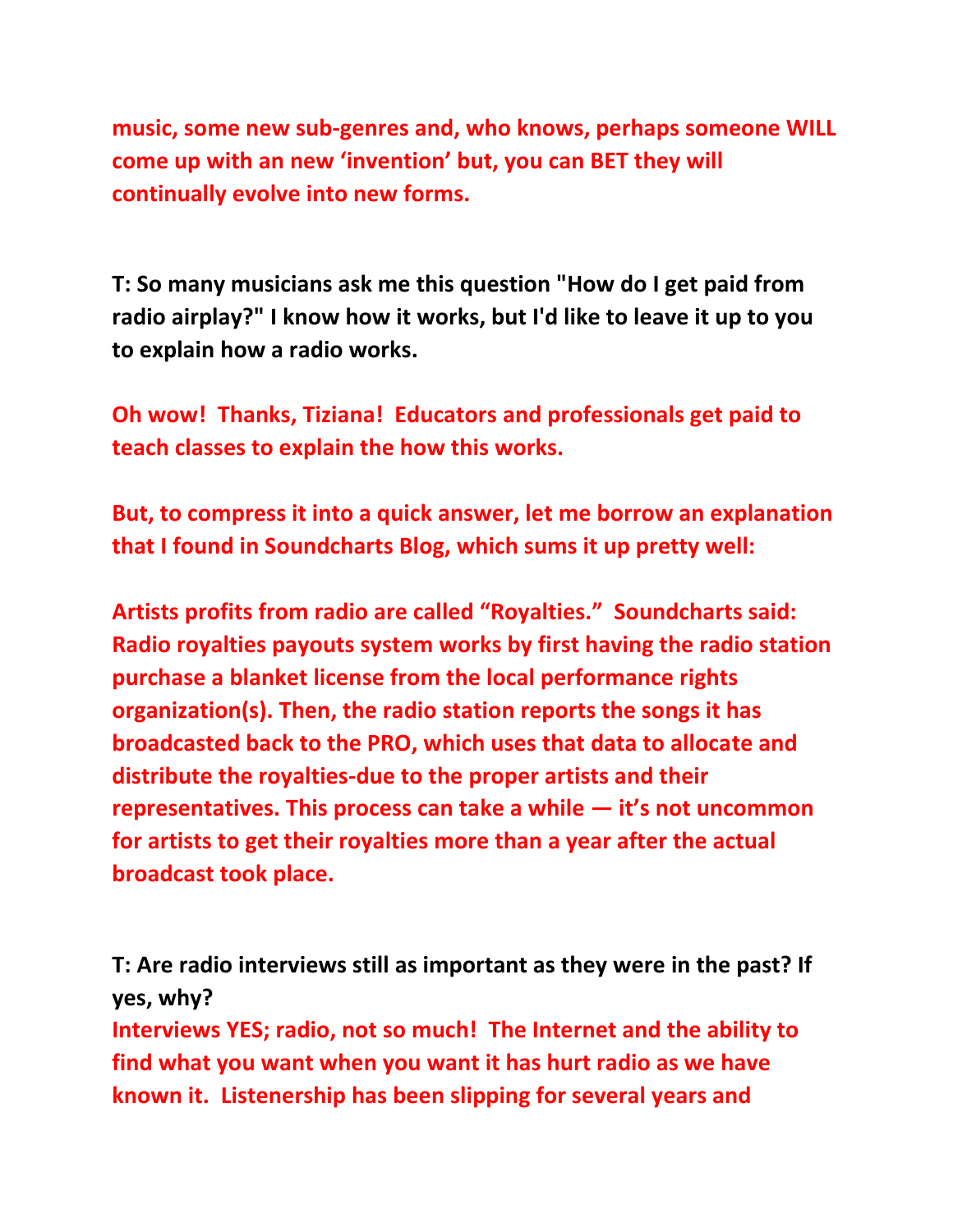**music, some new sub-genres and, who knows, perhaps someone WILL come up with an new 'invention' but, you can BET they will continually evolve into new forms.**

**T: So many musicians ask me this question "How do I get paid from radio airplay?" I know how it works, but I'd like to leave it up to you to explain how a radio works.**

**Oh wow! Thanks, Tiziana! Educators and professionals get paid to teach classes to explain the how this works.** 

**But, to compress it into a quick answer, let me borrow an explanation that I found in Soundcharts Blog, which sums it up pretty well:**

**Artists profits from radio are called "Royalties." Soundcharts said: Radio royalties payouts system works by first having the radio station purchase a blanket license from the local performance rights organization(s). Then, the radio station reports the songs it has broadcasted back to the PRO, which uses that data to allocate and distribute the royalties-due to the proper artists and their representatives. This process can take a while — it's not uncommon for artists to get their royalties more than a year after the actual broadcast took place.**

**T: Are radio interviews still as important as they were in the past? If yes, why?** 

**Interviews YES; radio, not so much! The Internet and the ability to find what you want when you want it has hurt radio as we have known it. Listenership has been slipping for several years and**